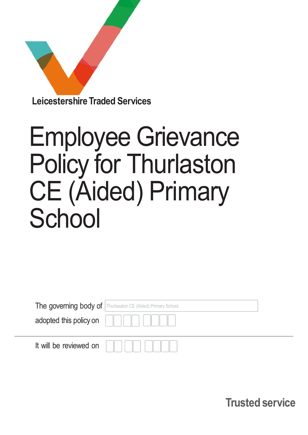

# Employee Grievance Policy for Thurlaston CE (Aided) Primary **School**

|                        | The governing body of Thurlasaton CE (Aided) Primary School |  |
|------------------------|-------------------------------------------------------------|--|
| adopted this policy on |                                                             |  |
| It will be reviewed on |                                                             |  |

Trusted service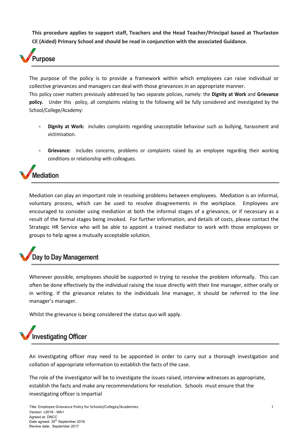This procedure applies to support staff, Teachers and the Head Teacher/Principal based at Thurlaston CE (Aided) Primary School and should be read in conjunction with the associated Guidance.



The purpose of the policy is to provide a framework within which employees can raise individual or collective grievances and managers can deal with those grievances in an appropriate manner. This policy cover matters previously addressed by two separate policies, namely: the Dignity at Work and Grievance policy. Under this policy, all complaints relating to the following will be fully considered and investigated by the School/College/Academy:

- **Dignity at Work:** includes complaints regarding unacceptable behaviour such as bullying, harassment and victimisation.
- Grievance: includes concerns, problems or complaints raised by an employee regarding their working conditions or relationship with colleagues.



Mediation can play an important role in resolving problems between employees. Mediation is an informal, voluntary process, which can be used to resolve disagreements in the workplace. Employees are encouraged to consider using mediation at both the informal stages of a grievance, or if necessary as a result of the formal stages being invoked. For further information, and details of costs, please contact the Strategic HR Service who will be able to appoint a trained mediator to work with those employees or groups to help agree a mutually acceptable solution.

## Day to Day Management

Wherever possible, employees should be supported in trying to resolve the problem informally. This can often be done effectively by the individual raising the issue directly with their line manager, either orally or in writing. If the grievance relates to the individuals line manager, it should be referred to the line manager's manager.

Whilst the grievance is being considered the status quo will apply.

### Investigating Officer

An investigating officer may need to be appointed in order to carry out a thorough investigation and collation of appropriate information to establish the facts of the case.

The role of the investigator will be to investigate the issues raised, interview witnesses as appropriate, establish the facts and make any recommendations for resolution. Schools must ensure that the investigating officer is impartial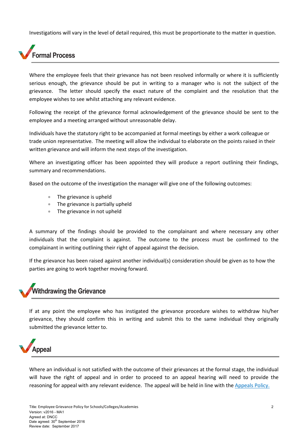Investigations will vary in the level of detail required, this must be proportionate to the matter in question.

## Formal Process

Where the employee feels that their grievance has not been resolved informally or where it is sufficiently serious enough, the grievance should be put in writing to a manager who is not the subject of the grievance. The letter should specify the exact nature of the complaint and the resolution that the employee wishes to see whilst attaching any relevant evidence.

Following the receipt of the grievance formal acknowledgement of the grievance should be sent to the employee and a meeting arranged without unreasonable delay.

Individuals have the statutory right to be accompanied at formal meetings by either a work colleague or trade union representative. The meeting will allow the individual to elaborate on the points raised in their written grievance and will inform the next steps of the investigation.

Where an investigating officer has been appointed they will produce a report outlining their findings, summary and recommendations.

Based on the outcome of the investigation the manager will give one of the following outcomes:

- The grievance is upheld
- The grievance is partially upheld
- The grievance in not upheld

A summary of the findings should be provided to the complainant and where necessary any other individuals that the complaint is against. The outcome to the process must be confirmed to the complainant in writing outlining their right of appeal against the decision.

If the grievance has been raised against another individual(s) consideration should be given as to how the parties are going to work together moving forward.

## Withdrawing the Grievance

If at any point the employee who has instigated the grievance procedure wishes to withdraw his/her grievance, they should confirm this in writing and submit this to the same individual they originally submitted the grievance letter to.



Where an individual is not satisfied with the outcome of their grievances at the formal stage, the individual will have the right of appeal and in order to proceed to an appeal hearing will need to provide the reasoning for appeal with any relevant evidence. The appeal will be held in line with the Appeals Policy.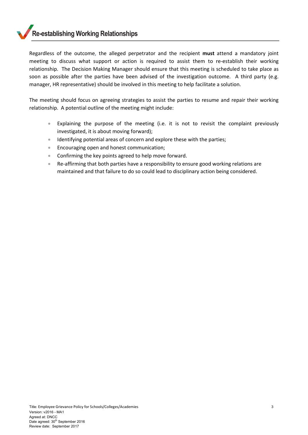#### Re-establishing Working Relationships

Regardless of the outcome, the alleged perpetrator and the recipient must attend a mandatory joint meeting to discuss what support or action is required to assist them to re-establish their working relationship. The Decision Making Manager should ensure that this meeting is scheduled to take place as soon as possible after the parties have been advised of the investigation outcome. A third party (e.g. manager, HR representative) should be involved in this meeting to help facilitate a solution.

The meeting should focus on agreeing strategies to assist the parties to resume and repair their working relationship. A potential outline of the meeting might include:

- Explaining the purpose of the meeting (i.e. it is not to revisit the complaint previously investigated, it is about moving forward);
- **Identifying potential areas of concern and explore these with the parties;**
- **Encouraging open and honest communication;**
- Confirming the key points agreed to help move forward.
- Re-affirming that both parties have a responsibility to ensure good working relations are maintained and that failure to do so could lead to disciplinary action being considered.